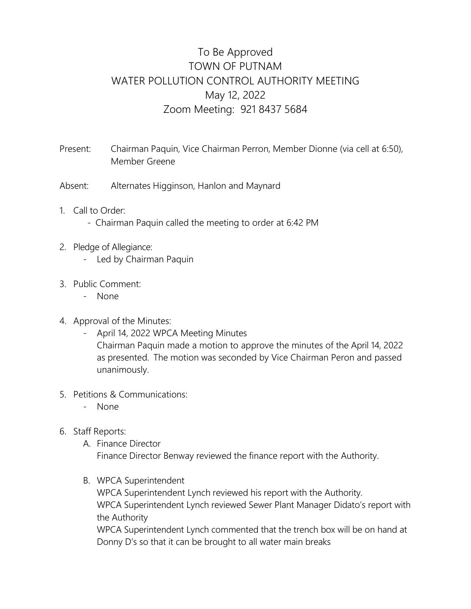## To Be Approved TOWN OF PUTNAM WATER POLLUTION CONTROL AUTHORITY MEETING May 12, 2022 Zoom Meeting: 921 8437 5684

Present: Chairman Paquin, Vice Chairman Perron, Member Dionne (via cell at 6:50), Member Greene

- Absent: Alternates Higginson, Hanlon and Maynard
- 1. Call to Order:
	- Chairman Paquin called the meeting to order at 6:42 PM
- 2. Pledge of Allegiance:
	- Led by Chairman Paquin
- 3. Public Comment:
	- None
- 4. Approval of the Minutes:
	- April 14, 2022 WPCA Meeting Minutes

Chairman Paquin made a motion to approve the minutes of the April 14, 2022 as presented. The motion was seconded by Vice Chairman Peron and passed unanimously.

- 5. Petitions & Communications:
	- None
- 6. Staff Reports:
	- A. Finance Director Finance Director Benway reviewed the finance report with the Authority.
	- B. WPCA Superintendent

WPCA Superintendent Lynch reviewed his report with the Authority. WPCA Superintendent Lynch reviewed Sewer Plant Manager Didato's report with the Authority

WPCA Superintendent Lynch commented that the trench box will be on hand at Donny D's so that it can be brought to all water main breaks